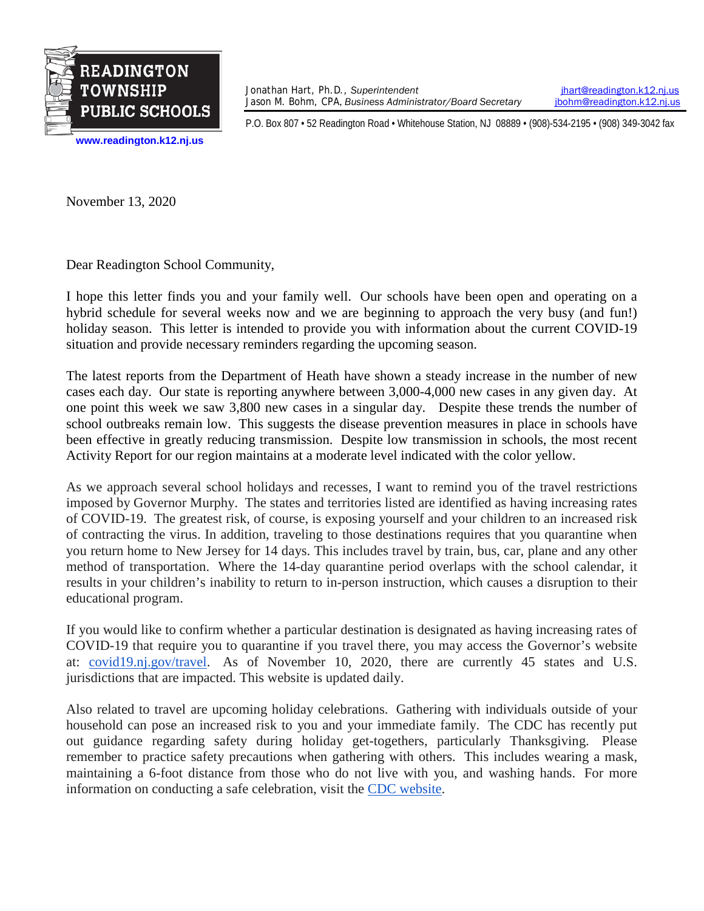

Jonathan Hart, Ph.D., *Superintendent* **index** intervalsion.k12.nj.us<br>Jason M. Bohm, CPA, Business Administrator/Board Secretary **interval and intervalsion** intervalsion.k12.nj.us Jason M. Bohm, CPA, *Business Administrator/Board Secretary* 

P.O. Box 807 • 52 Readington Road • Whitehouse Station, NJ 08889 • (908)-534-2195 • (908) 349-3042 fax

November 13, 2020

Dear Readington School Community,

I hope this letter finds you and your family well. Our schools have been open and operating on a hybrid schedule for several weeks now and we are beginning to approach the very busy (and fun!) holiday season. This letter is intended to provide you with information about the current COVID-19 situation and provide necessary reminders regarding the upcoming season.

The latest reports from the Department of Heath have shown a steady increase in the number of new cases each day. Our state is reporting anywhere between 3,000-4,000 new cases in any given day. At one point this week we saw 3,800 new cases in a singular day. Despite these trends the number of school outbreaks remain low. This suggests the disease prevention measures in place in schools have been effective in greatly reducing transmission. Despite low transmission in schools, the most recent Activity Report for our region maintains at a moderate level indicated with the color yellow.

As we approach several school holidays and recesses, I want to remind you of the travel restrictions imposed by Governor Murphy. The states and territories listed are identified as having increasing rates of COVID-19. The greatest risk, of course, is exposing yourself and your children to an increased risk of contracting the virus. In addition, traveling to those destinations requires that you quarantine when you return home to New Jersey for 14 days. This includes travel by train, bus, car, plane and any other method of transportation. Where the 14-day quarantine period overlaps with the school calendar, it results in your children's inability to return to in-person instruction, which causes a disruption to their educational program.

If you would like to confirm whether a particular destination is designated as having increasing rates of COVID-19 that require you to quarantine if you travel there, you may access the Governor's website at: [covid19.nj.gov/travel.](http://covid19.nj.gov/travel) As of November 10, 2020, there are currently 45 states and U.S. jurisdictions that are impacted. This website is updated daily.

Also related to travel are upcoming holiday celebrations. Gathering with individuals outside of your household can pose an increased risk to you and your immediate family. The CDC has recently put out guidance regarding safety during holiday get-togethers, particularly Thanksgiving. Please remember to practice safety precautions when gathering with others. This includes wearing a mask, maintaining a 6-foot distance from those who do not live with you, and washing hands. For more information on conducting a safe celebration, visit the [CDC website.](https://www.cdc.gov/coronavirus/2019-ncov/daily-life-coping/holidays/thanksgiving.html?ACSTrackingID=USCDC_2067-DM42275&ACSTrackingLabel=Celebrating%20Thanksgiving%20%7C%20COVID-19&deliveryName=USCDC_2067-DM42275)